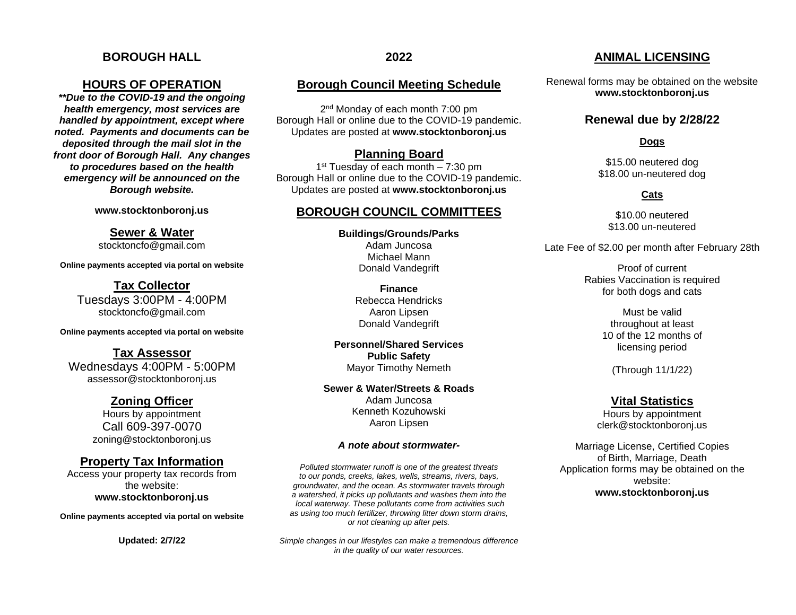# **BOROUGH HALL**

### **HOURS OF OPERATION**

*\*\*Due to the COVID-19 and the ongoing health emergency, most services are handled by appointment, except where noted. Payments and documents can be deposited through the mail slot in the front door of Borough Hall. Any changes to procedures based on the health emergency will be announced on the Borough website.*

**[www.stocktonboronj.us](http://www.stocktonboronj.us/)**

**Sewer & Water** stocktoncfo@gmail.com

**Online payments accepted via portal on website**

**Tax Collector** Tuesdays 3:00PM - 4:00PM stocktoncfo@gmail.com

**Online payments accepted via portal on website**

**Tax Assessor** Wednesdays 4:00PM - 5:00PM assessor@stocktonboronj.us

# **Zoning Officer**

Hours by appointment Call 609-397-0070 zoning@stocktonboronj.us

## **Property Tax Information**

Access your property tax records from the website: **[www.stocktonboronj.us](http://www.stocktonboronj.us/)**

**Online payments accepted via portal on website**

**Updated: 2/7/22**

# **Borough Council Meeting Schedule**

2<sup>nd</sup> Monday of each month 7:00 pm Borough Hall or online due to the COVID-19 pandemic. Updates are posted at **www.stocktonboronj.us**

#### **Planning Board**

1<sup>st</sup> Tuesday of each month – 7:30 pm Borough Hall or online due to the COVID-19 pandemic. Updates are posted at **www.stocktonboronj.us**

# **BOROUGH COUNCIL COMMITTEES**

**Buildings/Grounds/Parks** Adam Juncosa Michael Mann Donald Vandegrift

> **Finance** Rebecca Hendricks Aaron Lipsen Donald Vandegrift

**Personnel/Shared Services Public Safety** Mayor Timothy Nemeth

**Sewer & Water/Streets & Roads** Adam Juncosa Kenneth Kozuhowski Aaron Lipsen

#### *A note about stormwater-*

*Polluted stormwater runoff is one of the greatest threats to our ponds, creeks, lakes, wells, streams, rivers, bays, groundwater, and the ocean. As stormwater travels through a watershed, it picks up pollutants and washes them into the local waterway. These pollutants come from activities such as using too much fertilizer, throwing litter down storm drains, or not cleaning up after pets.*

*Simple changes in our lifestyles can make a tremendous difference in the quality of our water resources.*

# **ANIMAL LICENSING**

Renewal forms may be obtained on the website **[www.stocktonboronj.us](http://www.stocktonboronj.us/)**

### **Renewal due by 2/28/22**

**Dogs**

\$15.00 neutered dog \$18.00 un-neutered dog

#### **Cats**

\$10.00 neutered \$13.00 un-neutered

Late Fee of \$2.00 per month after February 28th

Proof of current Rabies Vaccination is required for both dogs and cats

> Must be valid throughout at least 10 of the 12 months of licensing period

(Through 11/1/22)

### **Vital Statistics**

Hours by appointment clerk@stocktonboronj.us

Marriage License, Certified Copies of Birth, Marriage, Death Application forms may be obtained on the website: **[www.stocktonboronj.us](http://www.stocktonboronj.us/)**

#### **2022**